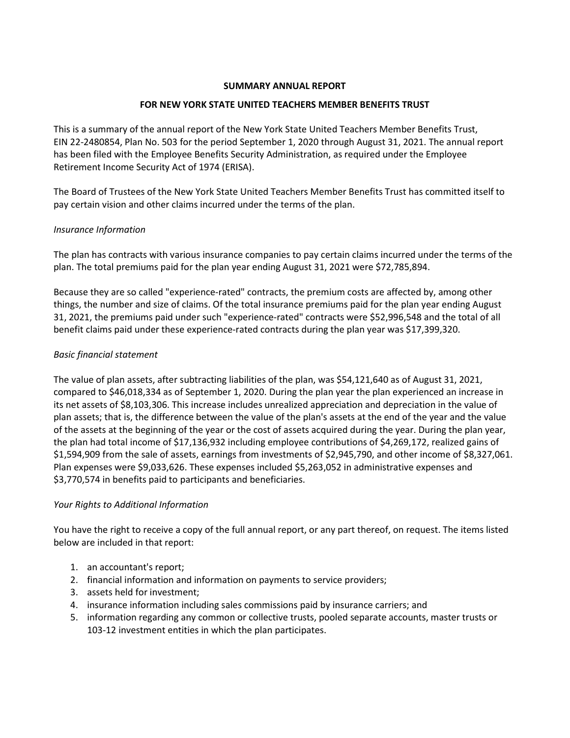### SUMMARY ANNUAL REPORT

## FOR NEW YORK STATE UNITED TEACHERS MEMBER BENEFITS TRUST

This is a summary of the annual report of the New York State United Teachers Member Benefits Trust, EIN 22-2480854, Plan No. 503 for the period September 1, 2020 through August 31, 2021. The annual report has been filed with the Employee Benefits Security Administration, as required under the Employee Retirement Income Security Act of 1974 (ERISA).

The Board of Trustees of the New York State United Teachers Member Benefits Trust has committed itself to pay certain vision and other claims incurred under the terms of the plan.

## Insurance Information

The plan has contracts with various insurance companies to pay certain claims incurred under the terms of the plan. The total premiums paid for the plan year ending August 31, 2021 were \$72,785,894.

Because they are so called "experience-rated" contracts, the premium costs are affected by, among other things, the number and size of claims. Of the total insurance premiums paid for the plan year ending August 31, 2021, the premiums paid under such "experience-rated" contracts were \$52,996,548 and the total of all benefit claims paid under these experience-rated contracts during the plan year was \$17,399,320.

## Basic financial statement

The value of plan assets, after subtracting liabilities of the plan, was \$54,121,640 as of August 31, 2021, compared to \$46,018,334 as of September 1, 2020. During the plan year the plan experienced an increase in its net assets of \$8,103,306. This increase includes unrealized appreciation and depreciation in the value of plan assets; that is, the difference between the value of the plan's assets at the end of the year and the value of the assets at the beginning of the year or the cost of assets acquired during the year. During the plan year, the plan had total income of \$17,136,932 including employee contributions of \$4,269,172, realized gains of \$1,594,909 from the sale of assets, earnings from investments of \$2,945,790, and other income of \$8,327,061. Plan expenses were \$9,033,626. These expenses included \$5,263,052 in administrative expenses and \$3,770,574 in benefits paid to participants and beneficiaries.

# Your Rights to Additional Information

You have the right to receive a copy of the full annual report, or any part thereof, on request. The items listed below are included in that report:

- 1. an accountant's report;
- 2. financial information and information on payments to service providers;
- 3. assets held for investment;
- 4. insurance information including sales commissions paid by insurance carriers; and
- 5. information regarding any common or collective trusts, pooled separate accounts, master trusts or 103-12 investment entities in which the plan participates.